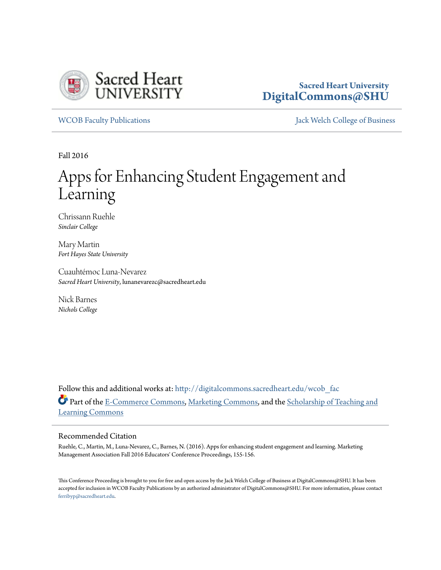

### **Sacred Heart University [DigitalCommons@SHU](http://digitalcommons.sacredheart.edu?utm_source=digitalcommons.sacredheart.edu%2Fwcob_fac%2F420&utm_medium=PDF&utm_campaign=PDFCoverPages)**

[WCOB Faculty Publications](http://digitalcommons.sacredheart.edu/wcob_fac?utm_source=digitalcommons.sacredheart.edu%2Fwcob_fac%2F420&utm_medium=PDF&utm_campaign=PDFCoverPages) [Jack Welch College of Business](http://digitalcommons.sacredheart.edu/wcob?utm_source=digitalcommons.sacredheart.edu%2Fwcob_fac%2F420&utm_medium=PDF&utm_campaign=PDFCoverPages)

Fall 2016

# Apps for Enhancing Student Engagement and Learning

Chrissann Ruehle *Sinclair College*

Mary Martin *Fort Hayes State University*

Cuauhtémoc Luna-Nevarez *Sacred Heart University*, lunanevarezc@sacredheart.edu

Nick Barnes *Nichols College*

Follow this and additional works at: [http://digitalcommons.sacredheart.edu/wcob\\_fac](http://digitalcommons.sacredheart.edu/wcob_fac?utm_source=digitalcommons.sacredheart.edu%2Fwcob_fac%2F420&utm_medium=PDF&utm_campaign=PDFCoverPages) Part of the [E-Commerce Commons,](http://network.bepress.com/hgg/discipline/624?utm_source=digitalcommons.sacredheart.edu%2Fwcob_fac%2F420&utm_medium=PDF&utm_campaign=PDFCoverPages) [Marketing Commons](http://network.bepress.com/hgg/discipline/638?utm_source=digitalcommons.sacredheart.edu%2Fwcob_fac%2F420&utm_medium=PDF&utm_campaign=PDFCoverPages), and the [Scholarship of Teaching and](http://network.bepress.com/hgg/discipline/1328?utm_source=digitalcommons.sacredheart.edu%2Fwcob_fac%2F420&utm_medium=PDF&utm_campaign=PDFCoverPages) [Learning Commons](http://network.bepress.com/hgg/discipline/1328?utm_source=digitalcommons.sacredheart.edu%2Fwcob_fac%2F420&utm_medium=PDF&utm_campaign=PDFCoverPages)

### Recommended Citation

Ruehle, C., Martin, M., Luna-Nevarez, C., Barnes, N. (2016). Apps for enhancing student engagement and learning. Marketing Management Association Fall 2016 Educators' Conference Proceedings, 155-156.

This Conference Proceeding is brought to you for free and open access by the Jack Welch College of Business at DigitalCommons@SHU. It has been accepted for inclusion in WCOB Faculty Publications by an authorized administrator of DigitalCommons@SHU. For more information, please contact [ferribyp@sacredheart.edu](mailto:ferribyp@sacredheart.edu).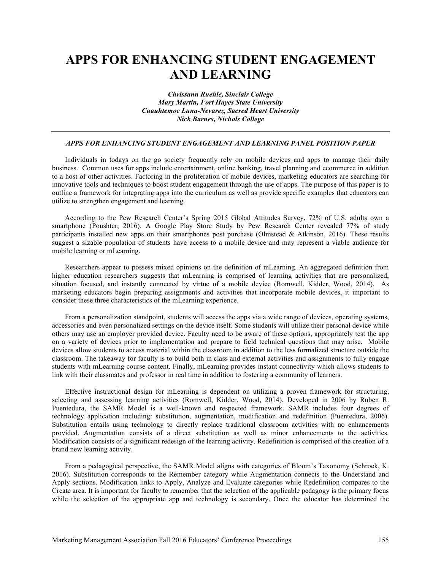## **APPS FOR ENHANCING STUDENT ENGAGEMENT AND LEARNING**

*Chrissann Ruehle, Sinclair College Mary Martin, Fort Hayes State University Cuauhtemoc Luna-Nevarez, Sacred Heart University Nick Barnes, Nichols College*

### *APPS FOR ENHANCING STUDENT ENGAGEMENT AND LEARNING PANEL POSITION PAPER*

Individuals in todays on the go society frequently rely on mobile devices and apps to manage their daily business. Common uses for apps include entertainment, online banking, travel planning and ecommerce in addition to a host of other activities. Factoring in the proliferation of mobile devices, marketing educators are searching for innovative tools and techniques to boost student engagement through the use of apps. The purpose of this paper is to outline a framework for integrating apps into the curriculum as well as provide specific examples that educators can utilize to strengthen engagement and learning.

According to the Pew Research Center's Spring 2015 Global Attitudes Survey, 72% of U.S. adults own a smartphone (Poushter, 2016). A Google Play Store Study by Pew Research Center revealed 77% of study participants installed new apps on their smartphones post purchase (Olmstead & Atkinson, 2016). These results suggest a sizable population of students have access to a mobile device and may represent a viable audience for mobile learning or mLearning.

Researchers appear to possess mixed opinions on the definition of mLearning. An aggregated definition from higher education researchers suggests that mLearning is comprised of learning activities that are personalized, situation focused, and instantly connected by virtue of a mobile device (Romwell, Kidder, Wood, 2014). As marketing educators begin preparing assignments and activities that incorporate mobile devices, it important to consider these three characteristics of the mLearning experience.

From a personalization standpoint, students will access the apps via a wide range of devices, operating systems, accessories and even personalized settings on the device itself. Some students will utilize their personal device while others may use an employer provided device. Faculty need to be aware of these options, appropriately test the app on a variety of devices prior to implementation and prepare to field technical questions that may arise. Mobile devices allow students to access material within the classroom in addition to the less formalized structure outside the classroom. The takeaway for faculty is to build both in class and external activities and assignments to fully engage students with mLearning course content. Finally, mLearning provides instant connectivity which allows students to link with their classmates and professor in real time in addition to fostering a community of learners.

Effective instructional design for mLearning is dependent on utilizing a proven framework for structuring, selecting and assessing learning activities (Romwell, Kidder, Wood, 2014). Developed in 2006 by Ruben R. Puentedura, the SAMR Model is a well-known and respected framework. SAMR includes four degrees of technology application including: substitution, augmentation, modification and redefinition (Puentedura, 2006). Substitution entails using technology to directly replace traditional classroom activities with no enhancements provided. Augmentation consists of a direct substitution as well as minor enhancements to the activities. Modification consists of a significant redesign of the learning activity. Redefinition is comprised of the creation of a brand new learning activity.

From a pedagogical perspective, the SAMR Model aligns with categories of Bloom's Taxonomy (Schrock, K. 2016). Substitution corresponds to the Remember category while Augmentation connects to the Understand and Apply sections. Modification links to Apply, Analyze and Evaluate categories while Redefinition compares to the Create area. It is important for faculty to remember that the selection of the applicable pedagogy is the primary focus while the selection of the appropriate app and technology is secondary. Once the educator has determined the